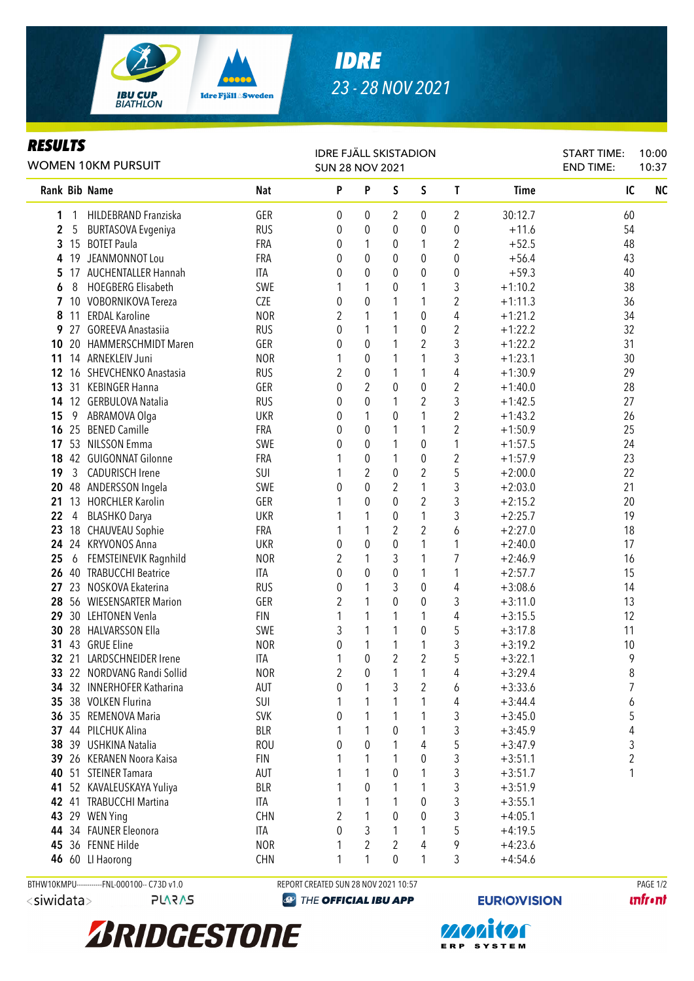

## *IDRE 23 - 28 NOV 2021*

## *RESULTS*

| I\LJVLI J<br>WOMEN 10KM PURSUIT |    |                             |            | <b>IDRE FJÄLL SKISTADION</b><br><b>SUN 28 NOV 2021</b> |                  |                                  |                                  |                |             |    | 10:00<br>10:37 |                |
|---------------------------------|----|-----------------------------|------------|--------------------------------------------------------|------------------|----------------------------------|----------------------------------|----------------|-------------|----|----------------|----------------|
|                                 |    | <b>Rank Bib Name</b>        | <b>Nat</b> | P                                                      | P                | S                                | S                                | T              | <b>Time</b> | IC |                | N <sub>C</sub> |
| 1                               | 1  | HILDEBRAND Franziska        | GER        | 0                                                      | 0                | 2                                | 0                                | 2              | 30:12.7     | 60 |                |                |
| 2                               | 5  | <b>BURTASOVA Evgeniya</b>   | <b>RUS</b> | 0                                                      | 0                | $\theta$                         | 0                                | 0              | $+11.6$     | 54 |                |                |
| 3                               |    | 15 BOTET Paula              | FRA        | 0                                                      | 1                | 0                                | 1                                | 2              | $+52.5$     | 48 |                |                |
| 4                               | 19 | JEANMONNOT Lou              | FRA        | 0                                                      | 0                | $\theta$                         | 0                                | 0              | $+56.4$     | 43 |                |                |
| 5                               |    | 17 AUCHENTALLER Hannah      | ITA        | 0                                                      | $\mathbf 0$      | 0                                | $\pmb{0}$                        | 0              | $+59.3$     | 40 |                |                |
| 6                               | 8  | <b>HOEGBERG Elisabeth</b>   | SWE        |                                                        | 1                | 0                                | 1                                | 3              | $+1:10.2$   | 38 |                |                |
| 7                               |    | 10 VOBORNIKOVA Tereza       | <b>CZE</b> | 0                                                      | $\boldsymbol{0}$ | 1                                | 1                                | $\overline{2}$ | $+1:11.3$   | 36 |                |                |
| 8                               | 11 | <b>ERDAL Karoline</b>       | <b>NOR</b> | $\overline{2}$                                         | $\mathbf{1}$     | 1                                | 0                                | 4              | $+1:21.2$   | 34 |                |                |
| 9                               | 27 | <b>GOREEVA Anastasiia</b>   | <b>RUS</b> | 0                                                      | 1                | 1                                | $\pmb{0}$                        | $\overline{2}$ | $+1:22.2$   | 32 |                |                |
| 10                              | 20 | <b>HAMMERSCHMIDT Maren</b>  | GER        | 0                                                      | $\boldsymbol{0}$ | 1                                | $\overline{2}$                   | 3              | $+1:22.2$   | 31 |                |                |
| 11                              |    | 14 ARNEKLEIV Juni           | <b>NOR</b> |                                                        | $\boldsymbol{0}$ | 1                                | 1                                | 3              | $+1:23.1$   | 30 |                |                |
| 12                              | 16 | SHEVCHENKO Anastasia        | <b>RUS</b> | 2                                                      | $\boldsymbol{0}$ | 1                                | 1                                | 4              | $+1:30.9$   | 29 |                |                |
| 13                              |    | 31 KEBINGER Hanna           | GER        | 0                                                      | $\overline{2}$   | $\mathbf 0$                      | 0                                | $\overline{2}$ | $+1:40.0$   | 28 |                |                |
| 14                              |    | 12 GERBULOVA Natalia        | <b>RUS</b> | 0                                                      | $\mathbf 0$      | 1                                | 2                                | 3              | $+1:42.5$   | 27 |                |                |
| 15                              | 9  | ABRAMOVA Olga               | <b>UKR</b> | 0                                                      | 1                | $\theta$                         | 1                                | $\overline{2}$ | $+1:43.2$   | 26 |                |                |
| 16                              |    | 25 BENED Camille            | <b>FRA</b> | 0                                                      | $\mathbf 0$      | 1                                | 1                                | $\overline{2}$ | $+1:50.9$   | 25 |                |                |
| 17                              |    | 53 NILSSON Emma             | SWE        | 0                                                      | $\mathbf 0$      | 1                                | 0                                | 1              | $+1:57.5$   | 24 |                |                |
|                                 |    | 18 42 GUIGONNAT Gilonne     | <b>FRA</b> |                                                        | 0                | 1                                | 0                                | 2              | $+1:57.9$   | 23 |                |                |
| 19                              |    | 3 CADURISCH Irene           | SUI        |                                                        | $\overline{2}$   | $\boldsymbol{0}$                 | 2                                | 5              | $+2:00.0$   | 22 |                |                |
| 20                              |    | 48 ANDERSSON Ingela         | SWE        | 0                                                      | $\mathbf 0$      | $\overline{2}$                   | 1                                | 3              | $+2:03.0$   | 21 |                |                |
| 21                              |    | 13 HORCHLER Karolin         | GER        |                                                        | 0                | $\theta$                         | 2                                | 3              | $+2:15.2$   | 20 |                |                |
| 22                              | 4  | <b>BLASHKO Darya</b>        | <b>UKR</b> |                                                        | 1                | 0                                | 1                                | 3              | $+2:25.7$   | 19 |                |                |
| 23                              | 18 | <b>CHAUVEAU Sophie</b>      | FRA        |                                                        | 1                | $\overline{c}$                   | 2                                | 6              | $+2:27.0$   | 18 |                |                |
| 24                              |    | 24 KRYVONOS Anna            | <b>UKR</b> | 0                                                      | 0                | $\mathbf{0}$                     | 1                                | 1              | $+2:40.0$   | 17 |                |                |
| 25                              | 6  | FEMSTEINEVIK Ragnhild       | <b>NOR</b> | $\overline{c}$                                         | $\mathbf{1}$     | 3                                | 1                                | 7              | $+2:46.9$   | 16 |                |                |
| 26                              |    | 40 TRABUCCHI Beatrice       | ITA        | 0                                                      | $\boldsymbol{0}$ | $\mathbf{0}$                     | 1                                | 1              | $+2:57.7$   | 15 |                |                |
| 27                              |    | 23 NOSKOVA Ekaterina        | <b>RUS</b> | 0                                                      | $\mathbf{1}$     | 3                                | $\pmb{0}$                        | 4              | $+3:08.6$   | 14 |                |                |
| 28                              |    | 56 WIESENSARTER Marion      | GER        | 2                                                      | 1                | $\mathbf{0}$                     | $\pmb{0}$                        | 3              | $+3:11.0$   | 13 |                |                |
| 29                              |    | 30 LEHTONEN Venla           | <b>FIN</b> |                                                        | 1                | 1                                | 1                                | 4              | $+3:15.5$   | 12 |                |                |
| 30                              |    | 28 HALVARSSON Ella          | SWE        | 3                                                      | $\mathbf{1}$     | 1                                | $\pmb{0}$                        | 5              | $+3:17.8$   | 11 |                |                |
| 31                              |    | 43 GRUE Eline               | <b>NOR</b> | 0                                                      | $\mathbf{1}$     | 1                                | 1                                | 3              | $+3:19.2$   | 10 |                |                |
|                                 |    | 32 21 LARDSCHNEIDER Irene   | ITA        |                                                        | $\boldsymbol{0}$ | $\overline{2}$<br>$\overline{ }$ | $\overline{2}$<br>$\overline{ }$ | 5              | $+3:22.1$   | 9  |                |                |
|                                 |    | 33 22 NORDVANG Randi Sollid | <b>NOR</b> | 2                                                      | $\pmb{0}$        |                                  |                                  | 4              | $+3:29.4$   | 8  |                |                |
|                                 |    | 34 32 INNERHOFER Katharina  | AUT        | 0                                                      | 1                | 3                                | 2                                | 6              | $+3:33.6$   | 7  |                |                |
|                                 |    | 35 38 VOLKEN Flurina        | SUI        |                                                        | 1                | 1                                | 1                                | 4              | $+3:44.4$   | 6  |                |                |
|                                 |    | 36 35 REMENOVA Maria        | <b>SVK</b> | 0                                                      | 1                | 1                                | 1                                | 3              | $+3:45.0$   | 5  |                |                |
|                                 |    | 37 44 PILCHUK Alina         | <b>BLR</b> |                                                        | 1                | $\theta$                         | 1                                | 3              | $+3:45.9$   | 4  |                |                |
|                                 |    | 38 39 USHKINA Natalia       | <b>ROU</b> | $\Omega$                                               | 0                | 1                                | 4                                | 5              | $+3:47.9$   | 3  |                |                |
|                                 |    | 39 26 KERANEN Noora Kaisa   | <b>FIN</b> |                                                        | 1                | 1                                | 0                                | 3              | $+3:51.1$   | 2  |                |                |
| 40                              |    | 51 STEINER Tamara           | AUT        |                                                        | 1                | $\theta$                         | 1                                | 3              | $+3:51.7$   |    |                |                |
| 41                              |    | 52 KAVALEUSKAYA Yuliya      | <b>BLR</b> |                                                        | 0                | 1                                |                                  | 3              | $+3:51.9$   |    |                |                |
|                                 |    | 42 41 TRABUCCHI Martina     | ITA        |                                                        |                  | 1                                | 0                                | 3              | $+3:55.1$   |    |                |                |
| 43                              |    | 29 WEN Ying                 | <b>CHN</b> | 2                                                      |                  | $\theta$                         | $\theta$                         | 3              | $+4:05.1$   |    |                |                |
| 44                              |    | 34 FAUNER Eleonora          | <b>ITA</b> | 0                                                      | 3                | 1                                | 1                                | 5              | $+4:19.5$   |    |                |                |
| 45                              |    | 36 FENNE Hilde              | <b>NOR</b> |                                                        | 2<br>1           | 2<br>0                           | 4<br>1                           | 9              | $+4:23.6$   |    |                |                |
|                                 |    | 46 60 Ll Haorong            | <b>CHN</b> | 1                                                      |                  |                                  |                                  | 3              | $+4:54.6$   |    |                |                |

<siwidata>

```
24545
```
BTHW10KMPU-----------FNL-000100-- C73D v1.0 REPORT CREATED SUN 28 NOV 2021 10:57 PAGE 1/2

**EXP THE OFFICIAL IBU APP** 



**unfront**